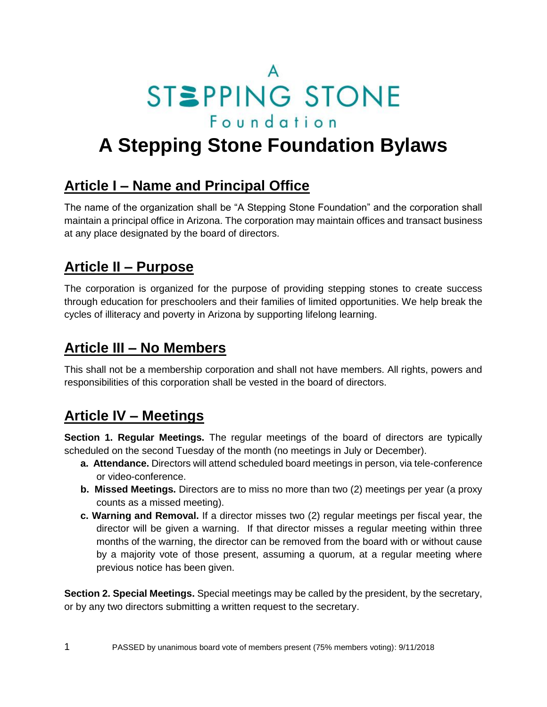STSPPING STONE Foundation

# **A Stepping Stone Foundation Bylaws**

### **Article I – Name and Principal Office**

The name of the organization shall be "A Stepping Stone Foundation" and the corporation shall maintain a principal office in Arizona. The corporation may maintain offices and transact business at any place designated by the board of directors.

### **Article II – Purpose**

The corporation is organized for the purpose of providing stepping stones to create success through education for preschoolers and their families of limited opportunities. We help break the cycles of illiteracy and poverty in Arizona by supporting lifelong learning.

#### **Article III – No Members**

This shall not be a membership corporation and shall not have members. All rights, powers and responsibilities of this corporation shall be vested in the board of directors.

### **Article IV – Meetings**

**Section 1. Regular Meetings.** The regular meetings of the board of directors are typically scheduled on the second Tuesday of the month (no meetings in July or December).

- **a. Attendance.** Directors will attend scheduled board meetings in person, via tele-conference or video-conference.
- **b. Missed Meetings.** Directors are to miss no more than two (2) meetings per year (a proxy counts as a missed meeting).
- **c. Warning and Removal.** If a director misses two (2) regular meetings per fiscal year, the director will be given a warning. If that director misses a regular meeting within three months of the warning, the director can be removed from the board with or without cause by a majority vote of those present, assuming a quorum, at a regular meeting where previous notice has been given.

**Section 2. Special Meetings.** Special meetings may be called by the president, by the secretary, or by any two directors submitting a written request to the secretary.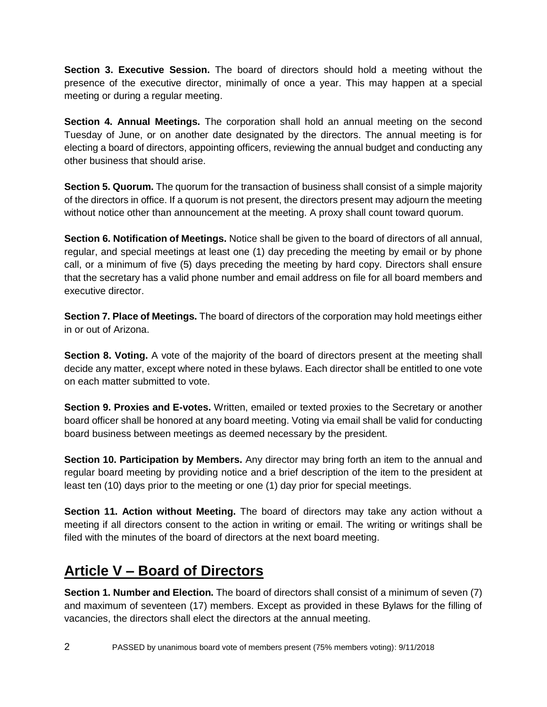**Section 3. Executive Session.** The board of directors should hold a meeting without the presence of the executive director, minimally of once a year. This may happen at a special meeting or during a regular meeting.

**Section 4. Annual Meetings.** The corporation shall hold an annual meeting on the second Tuesday of June, or on another date designated by the directors. The annual meeting is for electing a board of directors, appointing officers, reviewing the annual budget and conducting any other business that should arise.

**Section 5. Quorum.** The quorum for the transaction of business shall consist of a simple majority of the directors in office. If a quorum is not present, the directors present may adjourn the meeting without notice other than announcement at the meeting. A proxy shall count toward quorum.

**Section 6. Notification of Meetings.** Notice shall be given to the board of directors of all annual, regular, and special meetings at least one (1) day preceding the meeting by email or by phone call, or a minimum of five (5) days preceding the meeting by hard copy. Directors shall ensure that the secretary has a valid phone number and email address on file for all board members and executive director.

**Section 7. Place of Meetings.** The board of directors of the corporation may hold meetings either in or out of Arizona.

**Section 8. Voting.** A vote of the majority of the board of directors present at the meeting shall decide any matter, except where noted in these bylaws. Each director shall be entitled to one vote on each matter submitted to vote.

**Section 9. Proxies and E-votes.** Written, emailed or texted proxies to the Secretary or another board officer shall be honored at any board meeting. Voting via email shall be valid for conducting board business between meetings as deemed necessary by the president.

**Section 10. Participation by Members.** Any director may bring forth an item to the annual and regular board meeting by providing notice and a brief description of the item to the president at least ten (10) days prior to the meeting or one (1) day prior for special meetings.

**Section 11. Action without Meeting.** The board of directors may take any action without a meeting if all directors consent to the action in writing or email. The writing or writings shall be filed with the minutes of the board of directors at the next board meeting.

# **Article V – Board of Directors**

**Section 1. Number and Election.** The board of directors shall consist of a minimum of seven (7) and maximum of seventeen (17) members. Except as provided in these Bylaws for the filling of vacancies, the directors shall elect the directors at the annual meeting.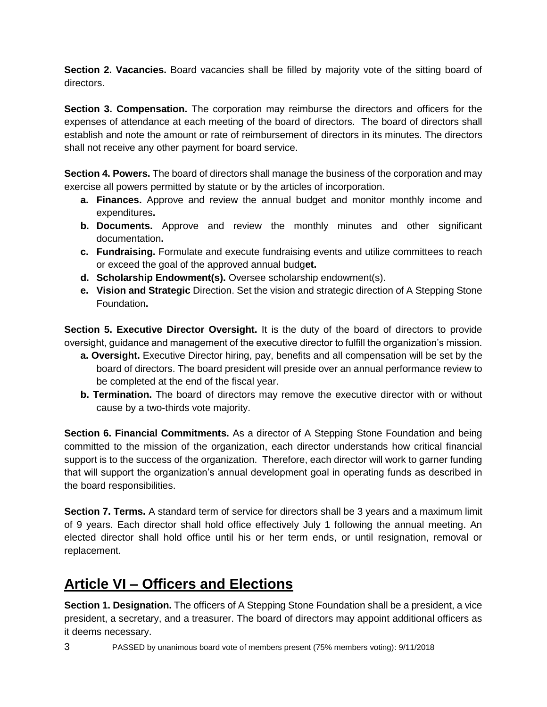**Section 2. Vacancies.** Board vacancies shall be filled by majority vote of the sitting board of directors.

**Section 3. Compensation.** The corporation may reimburse the directors and officers for the expenses of attendance at each meeting of the board of directors. The board of directors shall establish and note the amount or rate of reimbursement of directors in its minutes. The directors shall not receive any other payment for board service.

**Section 4. Powers.** The board of directors shall manage the business of the corporation and may exercise all powers permitted by statute or by the articles of incorporation.

- **a. Finances.** Approve and review the annual budget and monitor monthly income and expenditures**.**
- **b. Documents.** Approve and review the monthly minutes and other significant documentation**.**
- **c. Fundraising.** Formulate and execute fundraising events and utilize committees to reach or exceed the goal of the approved annual budg**et.**
- **d. Scholarship Endowment(s).** Oversee scholarship endowment(s).
- **e. Vision and Strategic** Direction. Set the vision and strategic direction of A Stepping Stone Foundation**.**

**Section 5. Executive Director Oversight.** It is the duty of the board of directors to provide oversight, guidance and management of the executive director to fulfill the organization's mission.

- **a. Oversight.** Executive Director hiring, pay, benefits and all compensation will be set by the board of directors. The board president will preside over an annual performance review to be completed at the end of the fiscal year.
- **b. Termination.** The board of directors may remove the executive director with or without cause by a two-thirds vote majority.

**Section 6. Financial Commitments.** As a director of A Stepping Stone Foundation and being committed to the mission of the organization, each director understands how critical financial support is to the success of the organization. Therefore, each director will work to garner funding that will support the organization's annual development goal in operating funds as described in the board responsibilities.

**Section 7. Terms.** A standard term of service for directors shall be 3 years and a maximum limit of 9 years. Each director shall hold office effectively July 1 following the annual meeting. An elected director shall hold office until his or her term ends, or until resignation, removal or replacement.

# **Article VI – Officers and Elections**

**Section 1. Designation.** The officers of A Stepping Stone Foundation shall be a president, a vice president, a secretary, and a treasurer. The board of directors may appoint additional officers as it deems necessary.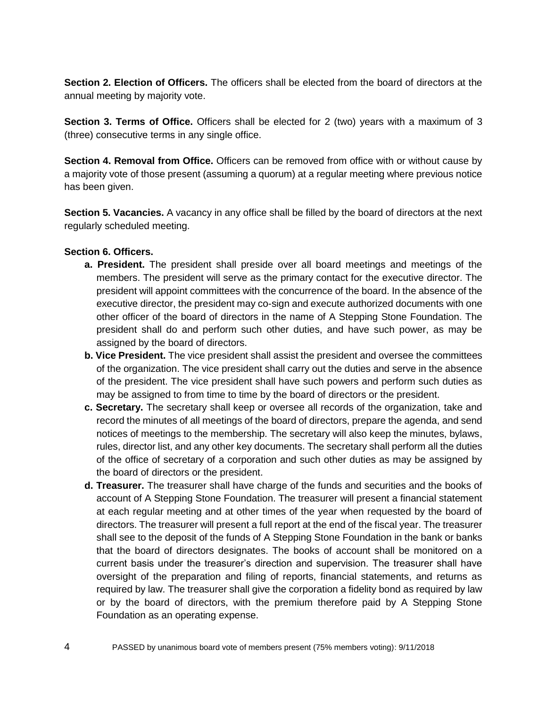**Section 2. Election of Officers.** The officers shall be elected from the board of directors at the annual meeting by majority vote.

**Section 3. Terms of Office.** Officers shall be elected for 2 (two) years with a maximum of 3 (three) consecutive terms in any single office.

**Section 4. Removal from Office.** Officers can be removed from office with or without cause by a majority vote of those present (assuming a quorum) at a regular meeting where previous notice has been given.

**Section 5. Vacancies.** A vacancy in any office shall be filled by the board of directors at the next regularly scheduled meeting.

#### **Section 6. Officers.**

- **a. President.** The president shall preside over all board meetings and meetings of the members. The president will serve as the primary contact for the executive director. The president will appoint committees with the concurrence of the board. In the absence of the executive director, the president may co-sign and execute authorized documents with one other officer of the board of directors in the name of A Stepping Stone Foundation. The president shall do and perform such other duties, and have such power, as may be assigned by the board of directors.
- **b. Vice President.** The vice president shall assist the president and oversee the committees of the organization. The vice president shall carry out the duties and serve in the absence of the president. The vice president shall have such powers and perform such duties as may be assigned to from time to time by the board of directors or the president.
- **c. Secretary.** The secretary shall keep or oversee all records of the organization, take and record the minutes of all meetings of the board of directors, prepare the agenda, and send notices of meetings to the membership. The secretary will also keep the minutes, bylaws, rules, director list, and any other key documents. The secretary shall perform all the duties of the office of secretary of a corporation and such other duties as may be assigned by the board of directors or the president.
- **d. Treasurer.** The treasurer shall have charge of the funds and securities and the books of account of A Stepping Stone Foundation. The treasurer will present a financial statement at each regular meeting and at other times of the year when requested by the board of directors. The treasurer will present a full report at the end of the fiscal year. The treasurer shall see to the deposit of the funds of A Stepping Stone Foundation in the bank or banks that the board of directors designates. The books of account shall be monitored on a current basis under the treasurer's direction and supervision. The treasurer shall have oversight of the preparation and filing of reports, financial statements, and returns as required by law. The treasurer shall give the corporation a fidelity bond as required by law or by the board of directors, with the premium therefore paid by A Stepping Stone Foundation as an operating expense.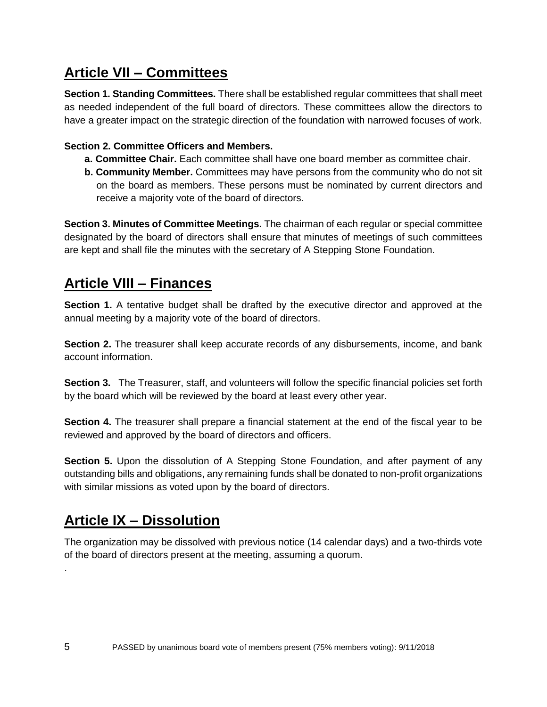# **Article VII – Committees**

**Section 1. Standing Committees.** There shall be established regular committees that shall meet as needed independent of the full board of directors. These committees allow the directors to have a greater impact on the strategic direction of the foundation with narrowed focuses of work.

#### **Section 2. Committee Officers and Members.**

- **a. Committee Chair.** Each committee shall have one board member as committee chair.
- **b. Community Member.** Committees may have persons from the community who do not sit on the board as members. These persons must be nominated by current directors and receive a majority vote of the board of directors.

**Section 3. Minutes of Committee Meetings.** The chairman of each regular or special committee designated by the board of directors shall ensure that minutes of meetings of such committees are kept and shall file the minutes with the secretary of A Stepping Stone Foundation.

### **Article VIII – Finances**

**Section 1.** A tentative budget shall be drafted by the executive director and approved at the annual meeting by a majority vote of the board of directors.

**Section 2.** The treasurer shall keep accurate records of any disbursements, income, and bank account information.

**Section 3.** The Treasurer, staff, and volunteers will follow the specific financial policies set forth by the board which will be reviewed by the board at least every other year.

**Section 4.** The treasurer shall prepare a financial statement at the end of the fiscal year to be reviewed and approved by the board of directors and officers.

**Section 5.** Upon the dissolution of A Stepping Stone Foundation, and after payment of any outstanding bills and obligations, any remaining funds shall be donated to non-profit organizations with similar missions as voted upon by the board of directors.

### **Article IX – Dissolution**

The organization may be dissolved with previous notice (14 calendar days) and a two-thirds vote of the board of directors present at the meeting, assuming a quorum.

.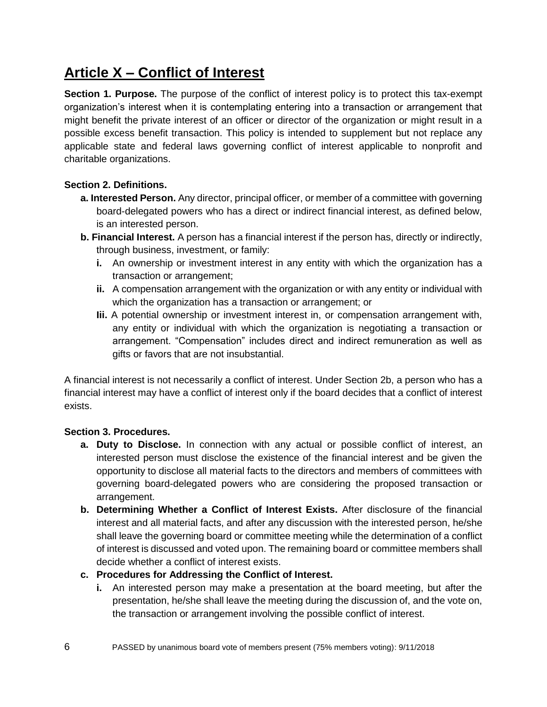# **Article X – Conflict of Interest**

**Section 1. Purpose.** The purpose of the conflict of interest policy is to protect this tax-exempt organization's interest when it is contemplating entering into a transaction or arrangement that might benefit the private interest of an officer or director of the organization or might result in a possible excess benefit transaction. This policy is intended to supplement but not replace any applicable state and federal laws governing conflict of interest applicable to nonprofit and charitable organizations.

#### **Section 2. Definitions.**

- **a. Interested Person.** Any director, principal officer, or member of a committee with governing board-delegated powers who has a direct or indirect financial interest, as defined below, is an interested person.
- **b. Financial Interest.** A person has a financial interest if the person has, directly or indirectly, through business, investment, or family:
	- **i.** An ownership or investment interest in any entity with which the organization has a transaction or arrangement;
	- **ii.** A compensation arrangement with the organization or with any entity or individual with which the organization has a transaction or arrangement; or
	- **Iii.** A potential ownership or investment interest in, or compensation arrangement with, any entity or individual with which the organization is negotiating a transaction or arrangement. "Compensation" includes direct and indirect remuneration as well as gifts or favors that are not insubstantial.

A financial interest is not necessarily a conflict of interest. Under Section 2b, a person who has a financial interest may have a conflict of interest only if the board decides that a conflict of interest exists.

#### **Section 3. Procedures.**

- **a. Duty to Disclose.** In connection with any actual or possible conflict of interest, an interested person must disclose the existence of the financial interest and be given the opportunity to disclose all material facts to the directors and members of committees with governing board-delegated powers who are considering the proposed transaction or arrangement.
- **b. Determining Whether a Conflict of Interest Exists.** After disclosure of the financial interest and all material facts, and after any discussion with the interested person, he/she shall leave the governing board or committee meeting while the determination of a conflict of interest is discussed and voted upon. The remaining board or committee members shall decide whether a conflict of interest exists.

#### **c. Procedures for Addressing the Conflict of Interest.**

**i.** An interested person may make a presentation at the board meeting, but after the presentation, he/she shall leave the meeting during the discussion of, and the vote on, the transaction or arrangement involving the possible conflict of interest.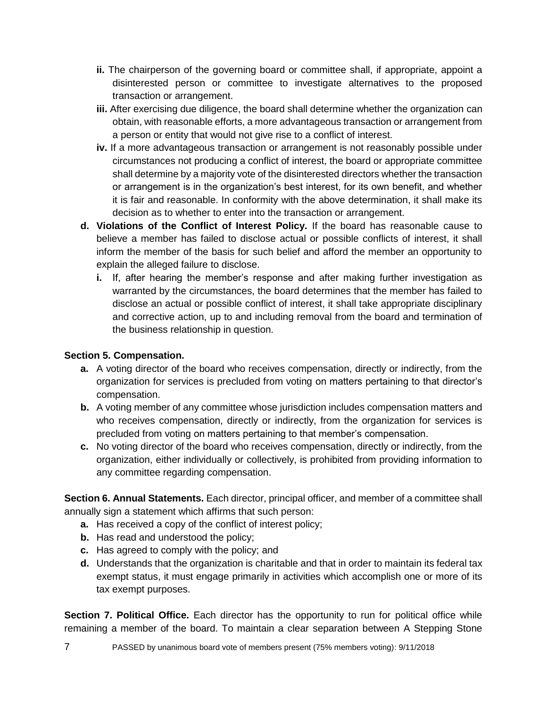- **ii.** The chairperson of the governing board or committee shall, if appropriate, appoint a disinterested person or committee to investigate alternatives to the proposed transaction or arrangement.
- **iii.** After exercising due diligence, the board shall determine whether the organization can obtain, with reasonable efforts, a more advantageous transaction or arrangement from a person or entity that would not give rise to a conflict of interest.
- **iv.** If a more advantageous transaction or arrangement is not reasonably possible under circumstances not producing a conflict of interest, the board or appropriate committee shall determine by a majority vote of the disinterested directors whether the transaction or arrangement is in the organization's best interest, for its own benefit, and whether it is fair and reasonable. In conformity with the above determination, it shall make its decision as to whether to enter into the transaction or arrangement.
- **d. Violations of the Conflict of Interest Policy.** If the board has reasonable cause to believe a member has failed to disclose actual or possible conflicts of interest, it shall inform the member of the basis for such belief and afford the member an opportunity to explain the alleged failure to disclose.
	- **i.** If, after hearing the member's response and after making further investigation as warranted by the circumstances, the board determines that the member has failed to disclose an actual or possible conflict of interest, it shall take appropriate disciplinary and corrective action, up to and including removal from the board and termination of the business relationship in question.

#### **Section 5. Compensation.**

- **a.** A voting director of the board who receives compensation, directly or indirectly, from the organization for services is precluded from voting on matters pertaining to that director's compensation.
- **b.** A voting member of any committee whose jurisdiction includes compensation matters and who receives compensation, directly or indirectly, from the organization for services is precluded from voting on matters pertaining to that member's compensation.
- **c.** No voting director of the board who receives compensation, directly or indirectly, from the organization, either individually or collectively, is prohibited from providing information to any committee regarding compensation.

**Section 6. Annual Statements.** Each director, principal officer, and member of a committee shall annually sign a statement which affirms that such person:

- **a.** Has received a copy of the conflict of interest policy;
- **b.** Has read and understood the policy;
- **c.** Has agreed to comply with the policy; and
- **d.** Understands that the organization is charitable and that in order to maintain its federal tax exempt status, it must engage primarily in activities which accomplish one or more of its tax exempt purposes.

**Section 7. Political Office.** Each director has the opportunity to run for political office while remaining a member of the board. To maintain a clear separation between A Stepping Stone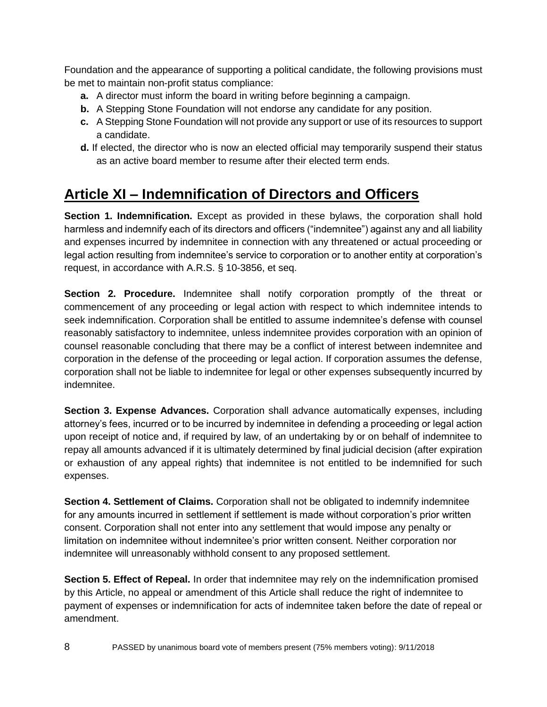Foundation and the appearance of supporting a political candidate, the following provisions must be met to maintain non-profit status compliance:

- **a.** A director must inform the board in writing before beginning a campaign.
- **b.** A Stepping Stone Foundation will not endorse any candidate for any position.
- **c.** A Stepping Stone Foundation will not provide any support or use of its resources to support a candidate.
- **d.** If elected, the director who is now an elected official may temporarily suspend their status as an active board member to resume after their elected term ends.

# **Article XI – Indemnification of Directors and Officers**

**Section 1. Indemnification.** Except as provided in these bylaws, the corporation shall hold harmless and indemnify each of its directors and officers ("indemnitee") against any and all liability and expenses incurred by indemnitee in connection with any threatened or actual proceeding or legal action resulting from indemnitee's service to corporation or to another entity at corporation's request, in accordance with A.R.S. § 10-3856, et seq.

**Section 2. Procedure.** Indemnitee shall notify corporation promptly of the threat or commencement of any proceeding or legal action with respect to which indemnitee intends to seek indemnification. Corporation shall be entitled to assume indemnitee's defense with counsel reasonably satisfactory to indemnitee, unless indemnitee provides corporation with an opinion of counsel reasonable concluding that there may be a conflict of interest between indemnitee and corporation in the defense of the proceeding or legal action. If corporation assumes the defense, corporation shall not be liable to indemnitee for legal or other expenses subsequently incurred by indemnitee.

**Section 3. Expense Advances.** Corporation shall advance automatically expenses, including attorney's fees, incurred or to be incurred by indemnitee in defending a proceeding or legal action upon receipt of notice and, if required by law, of an undertaking by or on behalf of indemnitee to repay all amounts advanced if it is ultimately determined by final judicial decision (after expiration or exhaustion of any appeal rights) that indemnitee is not entitled to be indemnified for such expenses.

**Section 4. Settlement of Claims.** Corporation shall not be obligated to indemnify indemnitee for any amounts incurred in settlement if settlement is made without corporation's prior written consent. Corporation shall not enter into any settlement that would impose any penalty or limitation on indemnitee without indemnitee's prior written consent. Neither corporation nor indemnitee will unreasonably withhold consent to any proposed settlement.

**Section 5. Effect of Repeal.** In order that indemnitee may rely on the indemnification promised by this Article, no appeal or amendment of this Article shall reduce the right of indemnitee to payment of expenses or indemnification for acts of indemnitee taken before the date of repeal or amendment.